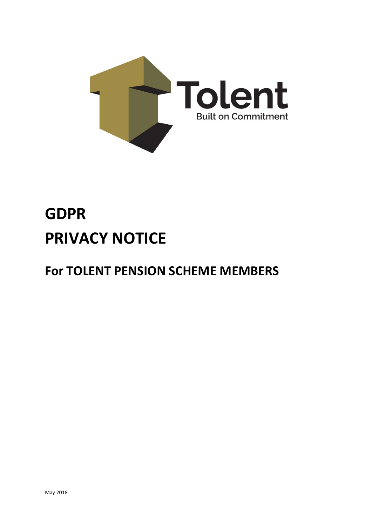

# **GDPR PRIVACY NOTICE**

# **For TOLENT PENSION SCHEME MEMBERS**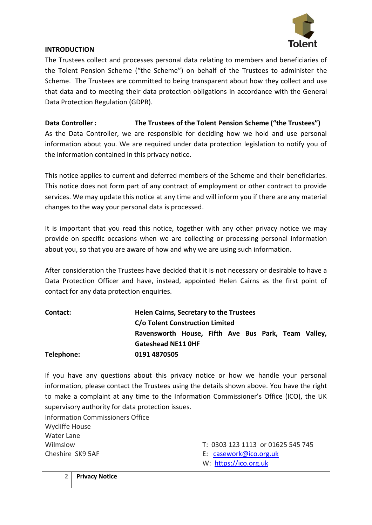

#### **INTRODUCTION**

The Trustees collect and processes personal data relating to members and beneficiaries of the Tolent Pension Scheme ("the Scheme") on behalf of the Trustees to administer the Scheme. The Trustees are committed to being transparent about how they collect and use that data and to meeting their data protection obligations in accordance with the General Data Protection Regulation (GDPR).

**Data Controller : The Trustees of the Tolent Pension Scheme ("the Trustees")** As the Data Controller, we are responsible for deciding how we hold and use personal information about you. We are required under data protection legislation to notify you of the information contained in this privacy notice.

This notice applies to current and deferred members of the Scheme and their beneficiaries. This notice does not form part of any contract of employment or other contract to provide services. We may update this notice at any time and will inform you if there are any material changes to the way your personal data is processed.

It is important that you read this notice, together with any other privacy notice we may provide on specific occasions when we are collecting or processing personal information about you, so that you are aware of how and why we are using such information.

After consideration the Trustees have decided that it is not necessary or desirable to have a Data Protection Officer and have, instead, appointed Helen Cairns as the first point of contact for any data protection enquiries.

| Contact:   | <b>Helen Cairns, Secretary to the Trustees</b>      |
|------------|-----------------------------------------------------|
|            | C/o Tolent Construction Limited                     |
|            | Ravensworth House, Fifth Ave Bus Park, Team Valley, |
|            | <b>Gateshead NE11 OHF</b>                           |
| Telephone: | 0191 4870505                                        |

If you have any questions about this privacy notice or how we handle your personal information, please contact the Trustees using the details shown above. You have the right to make a complaint at any time to the Information Commissioner's Office (ICO), the UK supervisory authority for data protection issues.

Information Commissioners Office Wycliffe House Water Lane Cheshire SK9 5AF E: [casework@ico.org.uk](mailto:casework@ico.org.uk)

- Wilmslow T: 0303 123 1113 or 01625 545 745
	-
	- W: [https://ico.org.uk](https://ico.org.uk/)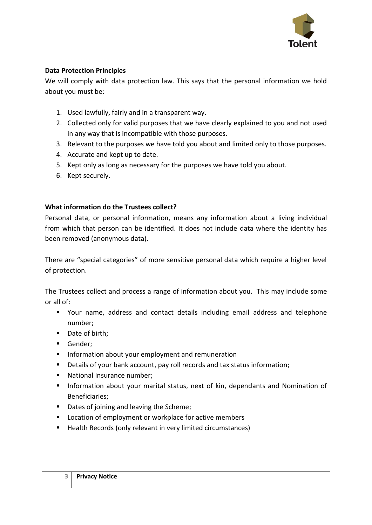

# **Data Protection Principles**

We will comply with data protection law. This says that the personal information we hold about you must be:

- 1. Used lawfully, fairly and in a transparent way.
- 2. Collected only for valid purposes that we have clearly explained to you and not used in any way that is incompatible with those purposes.
- 3. Relevant to the purposes we have told you about and limited only to those purposes.
- 4. Accurate and kept up to date.
- 5. Kept only as long as necessary for the purposes we have told you about.
- 6. Kept securely.

#### **What information do the Trustees collect?**

Personal data, or personal information, means any information about a living individual from which that person can be identified. It does not include data where the identity has been removed (anonymous data).

There are "special categories" of more sensitive personal data which require a higher level of protection.

The Trustees collect and process a range of information about you. This may include some or all of:

- Your name, address and contact details including email address and telephone number;
- Date of birth;
- Gender;
- **■** Information about your employment and remuneration
- Details of your bank account, pay roll records and tax status information;
- National Insurance number;
- Information about your marital status, next of kin, dependants and Nomination of Beneficiaries;
- Dates of joining and leaving the Scheme;
- Location of employment or workplace for active members
- Health Records (only relevant in very limited circumstances)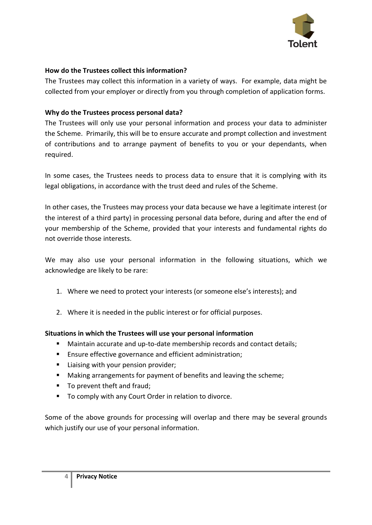

# **How do the Trustees collect this information?**

The Trustees may collect this information in a variety of ways. For example, data might be collected from your employer or directly from you through completion of application forms.

# **Why do the Trustees process personal data?**

The Trustees will only use your personal information and process your data to administer the Scheme. Primarily, this will be to ensure accurate and prompt collection and investment of contributions and to arrange payment of benefits to you or your dependants, when required.

In some cases, the Trustees needs to process data to ensure that it is complying with its legal obligations, in accordance with the trust deed and rules of the Scheme.

In other cases, the Trustees may process your data because we have a legitimate interest (or the interest of a third party) in processing personal data before, during and after the end of your membership of the Scheme, provided that your interests and fundamental rights do not override those interests.

We may also use your personal information in the following situations, which we acknowledge are likely to be rare:

- 1. Where we need to protect your interests (or someone else's interests); and
- 2. Where it is needed in the public interest or for official purposes.

#### **Situations in which the Trustees will use your personal information**

- Maintain accurate and up-to-date membership records and contact details;
- Ensure effective governance and efficient administration;
- Liaising with your pension provider;
- Making arrangements for payment of benefits and leaving the scheme;
- To prevent theft and fraud;
- To comply with any Court Order in relation to divorce.

Some of the above grounds for processing will overlap and there may be several grounds which justify our use of your personal information.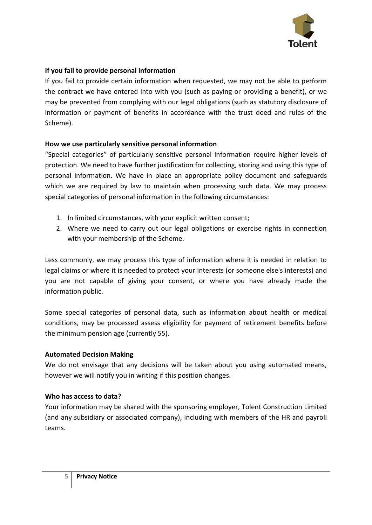

# **If you fail to provide personal information**

If you fail to provide certain information when requested, we may not be able to perform the contract we have entered into with you (such as paying or providing a benefit), or we may be prevented from complying with our legal obligations (such as statutory disclosure of information or payment of benefits in accordance with the trust deed and rules of the Scheme).

#### **How we use particularly sensitive personal information**

"Special categories" of particularly sensitive personal information require higher levels of protection. We need to have further justification for collecting, storing and using this type of personal information. We have in place an appropriate policy document and safeguards which we are required by law to maintain when processing such data. We may process special categories of personal information in the following circumstances:

- 1. In limited circumstances, with your explicit written consent;
- 2. Where we need to carry out our legal obligations or exercise rights in connection with your membership of the Scheme.

Less commonly, we may process this type of information where it is needed in relation to legal claims or where it is needed to protect your interests (or someone else's interests) and you are not capable of giving your consent, or where you have already made the information public.

Some special categories of personal data, such as information about health or medical conditions, may be processed assess eligibility for payment of retirement benefits before the minimum pension age (currently 55).

#### **Automated Decision Making**

We do not envisage that any decisions will be taken about you using automated means, however we will notify you in writing if this position changes.

#### **Who has access to data?**

Your information may be shared with the sponsoring employer, Tolent Construction Limited (and any subsidiary or associated company), including with members of the HR and payroll teams.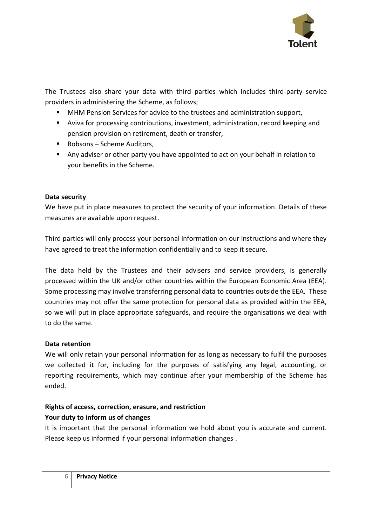

The Trustees also share your data with third parties which includes third-party service providers in administering the Scheme, as follows;

- MHM Pension Services for advice to the trustees and administration support,
- Aviva for processing contributions, investment, administration, record keeping and pension provision on retirement, death or transfer,
- Robsons Scheme Auditors,
- Any adviser or other party you have appointed to act on your behalf in relation to your benefits in the Scheme.

# **Data security**

We have put in place measures to protect the security of your information. Details of these measures are available upon request.

Third parties will only process your personal information on our instructions and where they have agreed to treat the information confidentially and to keep it secure.

The data held by the Trustees and their advisers and service providers, is generally processed within the UK and/or other countries within the European Economic Area (EEA). Some processing may involve transferring personal data to countries outside the EEA. These countries may not offer the same protection for personal data as provided within the EEA, so we will put in place appropriate safeguards, and require the organisations we deal with to do the same.

#### **Data retention**

We will only retain your personal information for as long as necessary to fulfil the purposes we collected it for, including for the purposes of satisfying any legal, accounting, or reporting requirements, which may continue after your membership of the Scheme has ended.

# **Rights of access, correction, erasure, and restriction Your duty to inform us of changes**

It is important that the personal information we hold about you is accurate and current. Please keep us informed if your personal information changes .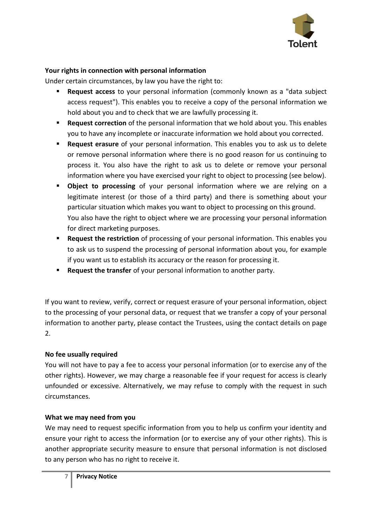

# **Your rights in connection with personal information**

Under certain circumstances, by law you have the right to:

- **Request access** to your personal information (commonly known as a "data subject access request"). This enables you to receive a copy of the personal information we hold about you and to check that we are lawfully processing it.
- **EXECT** Request correction of the personal information that we hold about you. This enables you to have any incomplete or inaccurate information we hold about you corrected.
- **Request erasure** of your personal information. This enables you to ask us to delete or remove personal information where there is no good reason for us continuing to process it. You also have the right to ask us to delete or remove your personal information where you have exercised your right to object to processing (see below).
- **Object to processing** of your personal information where we are relying on a legitimate interest (or those of a third party) and there is something about your particular situation which makes you want to object to processing on this ground. You also have the right to object where we are processing your personal information for direct marketing purposes.
- **E** Request the restriction of processing of your personal information. This enables you to ask us to suspend the processing of personal information about you, for example if you want us to establish its accuracy or the reason for processing it.
- **Request the transfer** of your personal information to another party.

If you want to review, verify, correct or request erasure of your personal information, object to the processing of your personal data, or request that we transfer a copy of your personal information to another party, please contact the Trustees, using the contact details on page 2.

#### **No fee usually required**

You will not have to pay a fee to access your personal information (or to exercise any of the other rights). However, we may charge a reasonable fee if your request for access is clearly unfounded or excessive. Alternatively, we may refuse to comply with the request in such circumstances.

#### **What we may need from you**

We may need to request specific information from you to help us confirm your identity and ensure your right to access the information (or to exercise any of your other rights). This is another appropriate security measure to ensure that personal information is not disclosed to any person who has no right to receive it.